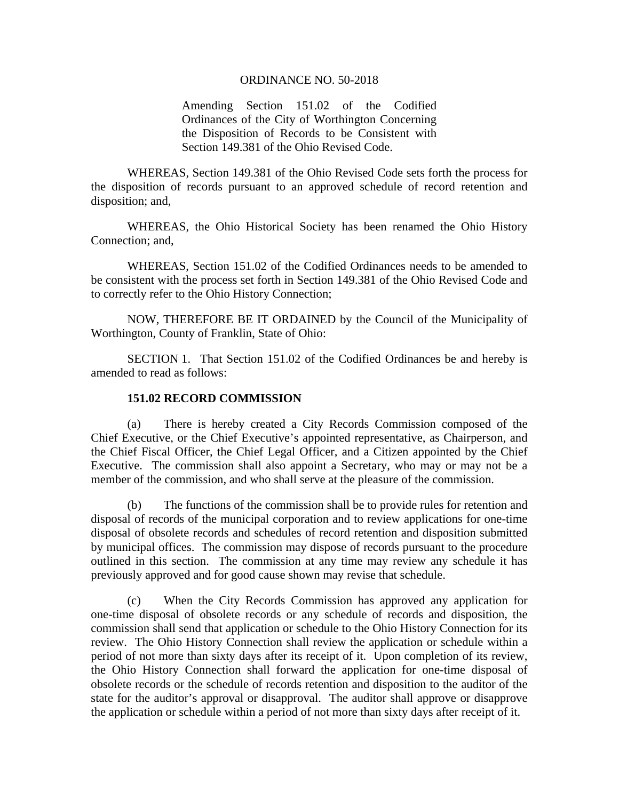## ORDINANCE NO. 50-2018

Amending Section 151.02 of the Codified Ordinances of the City of Worthington Concerning the Disposition of Records to be Consistent with Section 149.381 of the Ohio Revised Code.

 WHEREAS, Section 149.381 of the Ohio Revised Code sets forth the process for the disposition of records pursuant to an approved schedule of record retention and disposition; and,

 WHEREAS, the Ohio Historical Society has been renamed the Ohio History Connection; and,

 WHEREAS, Section 151.02 of the Codified Ordinances needs to be amended to be consistent with the process set forth in Section 149.381 of the Ohio Revised Code and to correctly refer to the Ohio History Connection;

 NOW, THEREFORE BE IT ORDAINED by the Council of the Municipality of Worthington, County of Franklin, State of Ohio:

 SECTION 1. That Section 151.02 of the Codified Ordinances be and hereby is amended to read as follows:

## **151.02 RECORD COMMISSION**

 (a) There is hereby created a City Records Commission composed of the Chief Executive, or the Chief Executive's appointed representative, as Chairperson, and the Chief Fiscal Officer, the Chief Legal Officer, and a Citizen appointed by the Chief Executive. The commission shall also appoint a Secretary, who may or may not be a member of the commission, and who shall serve at the pleasure of the commission.

(b) The functions of the commission shall be to provide rules for retention and disposal of records of the municipal corporation and to review applications for one-time disposal of obsolete records and schedules of record retention and disposition submitted by municipal offices. The commission may dispose of records pursuant to the procedure outlined in this section. The commission at any time may review any schedule it has previously approved and for good cause shown may revise that schedule.

(c) When the City Records Commission has approved any application for one-time disposal of obsolete records or any schedule of records and disposition, the commission shall send that application or schedule to the Ohio History Connection for its review. The Ohio History Connection shall review the application or schedule within a period of not more than sixty days after its receipt of it. Upon completion of its review, the Ohio History Connection shall forward the application for one-time disposal of obsolete records or the schedule of records retention and disposition to the auditor of the state for the auditor's approval or disapproval. The auditor shall approve or disapprove the application or schedule within a period of not more than sixty days after receipt of it.